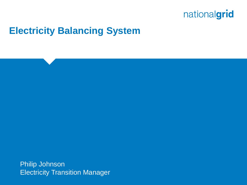## **Electricity Balancing System**

Philip Johnson **Electricity Transition Manager**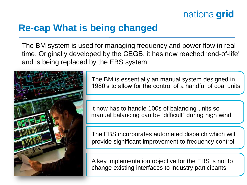## **Re-cap What is being changed**

The BM system is used for managing frequency and power flow in real time. Originally developed by the CEGB, it has now reached 'end-of-life' and is being replaced by the EBS system



The BM is essentially an manual system designed in 1980"s to allow for the control of a handful of coal units

It now has to handle 100s of balancing units so manual balancing can be "difficult" during high wind

The EBS incorporates automated dispatch which will provide significant improvement to frequency control

A key implementation objective for the EBS is not to change existing interfaces to industry participants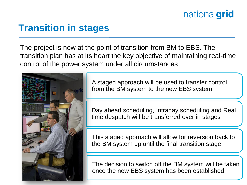## **Transition in stages**

The project is now at the point of transition from BM to EBS. The transition plan has at its heart the key objective of maintaining real-time control of the power system under all circumstances



A staged approach will be used to transfer control from the BM system to the new EBS system

Day ahead scheduling, Intraday scheduling and Real time despatch will be transferred over in stages

This staged approach will allow for reversion back to the BM system up until the final transition stage

The decision to switch off the BM system will be taken once the new EBS system has been established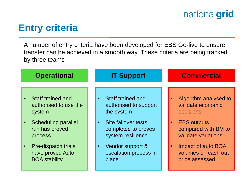#### **Entry criteria**

A number of entry criteria have been developed for EBS Go-live to ensure transfer can be achieved in a smooth way. These criteria are being tracked by three teams

| <b>Operational</b>                                                     | <b>IT Support</b>                                  | <b>Commercial</b>                                                        |
|------------------------------------------------------------------------|----------------------------------------------------|--------------------------------------------------------------------------|
| Staff trained and                                                      | <b>Staff trained and</b>                           | Algorithm analysed to                                                    |
| authorised to use the                                                  | authorised to support                              | validate economic                                                        |
| system                                                                 | the system                                         | decisions                                                                |
| <b>Scheduling parallel</b>                                             | Site failover tests                                | <b>EBS</b> outputs                                                       |
| run has proved                                                         | completed to proves                                | compared with BM to                                                      |
| process                                                                | system resilience                                  | validate variations                                                      |
| <b>Pre-dispatch trials</b><br>have proved Auto<br><b>BOA stability</b> | Vendor support &<br>escalation process in<br>place | Impact of auto BOA<br>$\bullet$<br>volumes on cash out<br>price assessed |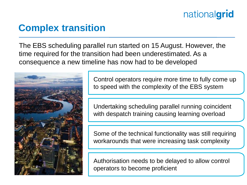## **Complex transition**

The EBS scheduling parallel run started on 15 August. However, the time required for the transition had been underestimated. As a consequence a new timeline has now had to be developed



Control operators require more time to fully come up to speed with the complexity of the EBS system

Undertaking scheduling parallel running coincident with despatch training causing learning overload

Some of the technical functionality was still requiring workarounds that were increasing task complexity

Authorisation needs to be delayed to allow control operators to become proficient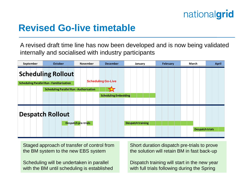

#### **Revised Go-live timetable**

A revised draft time line has now been developed and is now being validated internally and socialised with industry participants



Staged approach of transfer of control from the BM system to the new EBS system

Scheduling will be undertaken in parallel with the BM until scheduling is established Short duration dispatch pre-trials to prove the solution will retain BM in fast back-up

Dispatch training will start in the new year